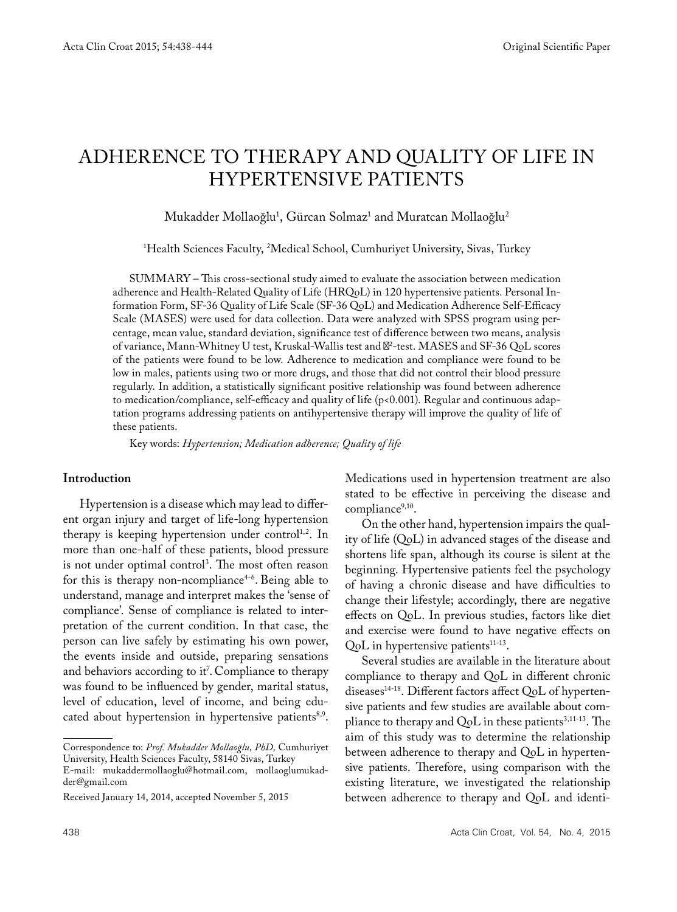# ADHERENCE TO THERAPY AND QUALITY OF LIFE IN HYPERTENSIVE PATIENTS

Mukadder Mollaoğlu<sup>1</sup>, Gürcan Solmaz<sup>ı</sup> and Muratcan Mollaoğlu<sup>2</sup>

1 Health Sciences Faculty, 2 Medical School, Cumhuriyet University, Sivas, Turkey

SUMMARY – This cross-sectional study aimed to evaluate the association between medication adherence and Health-Related Quality of Life (HRQoL) in 120 hypertensive patients. Personal Information Form, SF-36 Quality of Life Scale (SF-36 QoL) and Medication Adherence Self-Efficacy Scale (MASES) were used for data collection. Data were analyzed with SPSS program using percentage, mean value, standard deviation, significance test of difference between two means, analysis of variance, Mann-Whitney U test, Kruskal-Wallis test and <sup>2</sup>-test. MASES and SF-36 QoL scores of the patients were found to be low. Adherence to medication and compliance were found to be low in males, patients using two or more drugs, and those that did not control their blood pressure regularly. In addition, a statistically significant positive relationship was found between adherence to medication/compliance, self-efficacy and quality of life (p<0.001). Regular and continuous adaptation programs addressing patients on antihypertensive therapy will improve the quality of life of these patients.

Key words: *Hypertension; Medication adherence; Quality of life*

#### **Introduction**

Hypertension is a disease which may lead to different organ injury and target of life-long hypertension therapy is keeping hypertension under control<sup>1,2</sup>. In more than one-half of these patients, blood pressure is not under optimal control3 . The most often reason for this is therapy non-ncompliance $4-6$ . Being able to understand, manage and interpret makes the 'sense of compliance'. Sense of compliance is related to interpretation of the current condition. In that case, the person can live safely by estimating his own power, the events inside and outside, preparing sensations and behaviors according to it<sup>7</sup>. Compliance to therapy was found to be influenced by gender, marital status, level of education, level of income, and being educated about hypertension in hypertensive patients<sup>8,9</sup>.

Correspondence to: *Prof. Mukadder Mollaoğlu, PhD,* Cumhuriyet University, Health Sciences Faculty, 58140 Sivas, Turkey

E-mail: mukaddermollaoglu@hotmail.com, mollaoglumukadder@gmail.com

Medications used in hypertension treatment are also stated to be effective in perceiving the disease and compliance<sup>9,10</sup>.

On the other hand, hypertension impairs the quality of life (QoL) in advanced stages of the disease and shortens life span, although its course is silent at the beginning. Hypertensive patients feel the psychology of having a chronic disease and have difficulties to change their lifestyle; accordingly, there are negative effects on QoL. In previous studies, factors like diet and exercise were found to have negative effects on QoL in hypertensive patients<sup>11-13</sup>.

Several studies are available in the literature about compliance to therapy and QoL in different chronic diseases<sup>14-18</sup>. Different factors affect QoL of hypertensive patients and few studies are available about compliance to therapy and  $QoL$  in these patients<sup>3,11-13</sup>. The aim of this study was to determine the relationship between adherence to therapy and QoL in hypertensive patients. Therefore, using comparison with the existing literature, we investigated the relationship between adherence to therapy and QoL and identi-

Received January 14, 2014, accepted November 5, 2015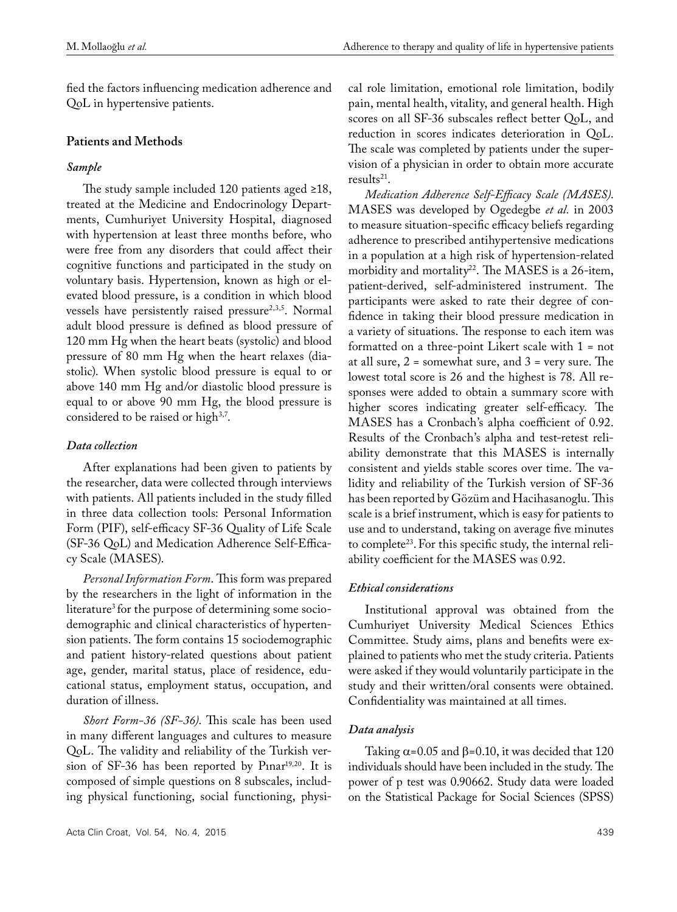fied the factors influencing medication adherence and QoL in hypertensive patients.

## **Patients and Methods**

## *Sample*

The study sample included 120 patients aged ≥18, treated at the Medicine and Endocrinology Departments, Cumhuriyet University Hospital, diagnosed with hypertension at least three months before, who were free from any disorders that could affect their cognitive functions and participated in the study on voluntary basis. Hypertension, known as high or elevated blood pressure, is a condition in which blood vessels have persistently raised pressure<sup>2,3,5</sup>. Normal adult blood pressure is defined as blood pressure of 120 mm Hg when the heart beats (systolic) and blood pressure of 80 mm Hg when the heart relaxes (diastolic). When systolic blood pressure is equal to or above 140 mm Hg and/or diastolic blood pressure is equal to or above 90 mm Hg, the blood pressure is considered to be raised or high<sup>3,7</sup>.

# *Data collection*

After explanations had been given to patients by the researcher, data were collected through interviews with patients. All patients included in the study filled in three data collection tools: Personal Information Form (PIF), self-efficacy SF-36 Quality of Life Scale (SF-36 QoL) and Medication Adherence Self-Efficacy Scale (MASES).

*Personal Information Form*. This form was prepared by the researchers in the light of information in the literature<sup>3</sup> for the purpose of determining some sociodemographic and clinical characteristics of hypertension patients. The form contains 15 sociodemographic and patient history-related questions about patient age, gender, marital status, place of residence, educational status, employment status, occupation, and duration of illness.

*Short Form-36 (SF-36)*. This scale has been used in many different languages and cultures to measure QoL. The validity and reliability of the Turkish version of SF-36 has been reported by Pinar $19,20$ . It is composed of simple questions on 8 subscales, including physical functioning, social functioning, physical role limitation, emotional role limitation, bodily pain, mental health, vitality, and general health. High scores on all SF-36 subscales reflect better QoL, and reduction in scores indicates deterioration in QoL. The scale was completed by patients under the supervision of a physician in order to obtain more accurate results $21$ .

*Medication Adherence Self-Efficacy Scale (MASES)*. MASES was developed by Ogedegbe *et al.* in 2003 to measure situation-specific efficacy beliefs regarding adherence to prescribed antihypertensive medications in a population at a high risk of hypertension-related morbidity and mortality<sup>22</sup>. The MASES is a 26-item, patient-derived, self-administered instrument. The participants were asked to rate their degree of confidence in taking their blood pressure medication in a variety of situations. The response to each item was formatted on a three-point Likert scale with 1 = not at all sure,  $2 =$  somewhat sure, and  $3 =$  very sure. The lowest total score is 26 and the highest is 78. All responses were added to obtain a summary score with higher scores indicating greater self-efficacy. The MASES has a Cronbach's alpha coefficient of 0.92. Results of the Cronbach's alpha and test-retest reliability demonstrate that this MASES is internally consistent and yields stable scores over time. The validity and reliability of the Turkish version of SF-36 has been reported by Gözüm and Hacihasanoglu. This scale is a brief instrument, which is easy for patients to use and to understand, taking on average five minutes to complete<sup>23</sup>. For this specific study, the internal reliability coefficient for the MASES was 0.92.

#### *Ethical considerations*

Institutional approval was obtained from the Cumhuriyet University Medical Sciences Ethics Committee. Study aims, plans and benefits were explained to patients who met the study criteria. Patients were asked if they would voluntarily participate in the study and their written/oral consents were obtained. Confidentiality was maintained at all times.

#### *Data analysis*

Taking  $\alpha$ =0.05 and  $\beta$ =0.10, it was decided that 120 individuals should have been included in the study. The power of p test was 0.90662. Study data were loaded on the Statistical Package for Social Sciences (SPSS)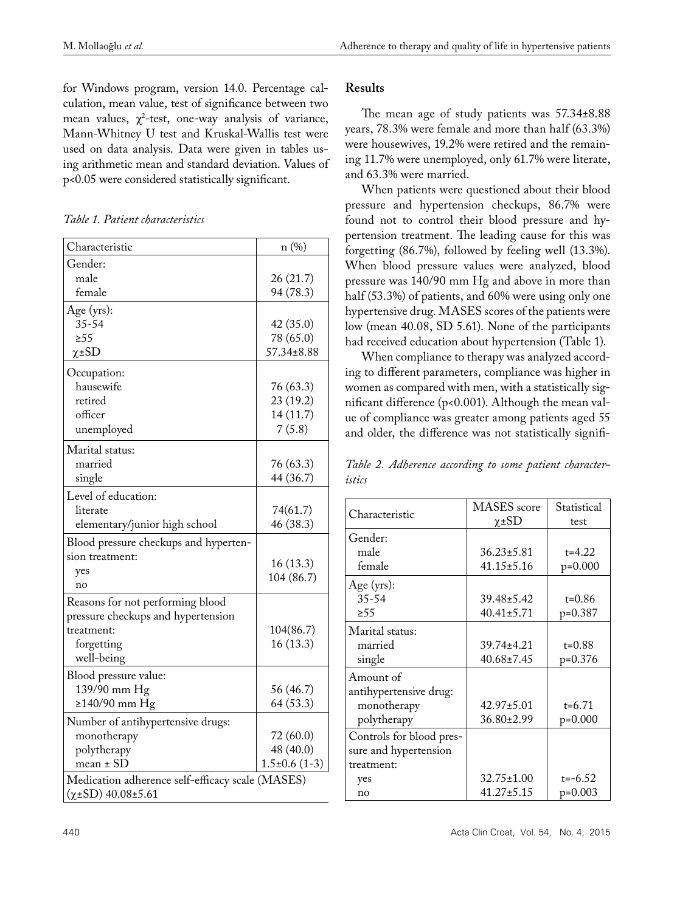for Windows program, version 14.0. Percentage calculation, mean value, test of significance between two mean values,  $\chi^2$ -test, one-way analysis of variance, Mann-Whitney U test and Kruskal-Wallis test were used on data analysis. Data were given in tables using arithmetic mean and standard deviation. Values of p<0.05 were considered statistically significant.

*Table 1. Patient characteristics*

| Characteristic                                   | n (%)            |  |
|--------------------------------------------------|------------------|--|
| Gender:                                          |                  |  |
| male                                             | 26(21.7)         |  |
| female                                           | 94 (78.3)        |  |
| Age (yrs):                                       |                  |  |
| $35 - 54$                                        | 42 (35.0)        |  |
| $\geq 55$                                        | 78 (65.0)        |  |
| $\chi$ ±SD                                       | 57.34±8.88       |  |
| Occupation:                                      |                  |  |
| hausewife                                        | 76 (63.3)        |  |
| retired                                          | 23 (19.2)        |  |
| officer                                          | 14(11.7)         |  |
| unemployed                                       | 7(5.8)           |  |
| Marital status:                                  |                  |  |
| married                                          | 76 (63.3)        |  |
| single                                           | 44 (36.7)        |  |
| Level of education:                              |                  |  |
| literate                                         | 74(61.7)         |  |
| elementary/junior high school                    | 46 (38.3)        |  |
| Blood pressure checkups and hyperten-            |                  |  |
| sion treatment:                                  |                  |  |
| yes                                              | 16(13.3)         |  |
| no                                               | 104 (86.7)       |  |
| Reasons for not performing blood                 |                  |  |
| pressure checkups and hypertension               |                  |  |
| treatment:                                       | 104(86.7)        |  |
| forgetting                                       | 16(13.3)         |  |
| well-being                                       |                  |  |
| Blood pressure value:                            |                  |  |
| 139/90 mm Hg                                     | 56 (46.7)        |  |
| ≥140/90 mm Hg                                    | 64 (53.3)        |  |
| Number of antihypertensive drugs:                |                  |  |
| monotherapy                                      | 72 (60.0)        |  |
| polytherapy                                      | 48 (40.0)        |  |
| mean ± SD                                        | $1.5\pm0.6(1-3)$ |  |
| Medication adherence self-efficacy scale (MASES) |                  |  |
| $(\chi \pm SD)$ 40.08 $\pm$ 5.61                 |                  |  |

### **Results**

The mean age of study patients was 57.34±8.88 years, 78.3% were female and more than half (63.3%) were housewives, 19.2% were retired and the remaining 11.7% were unemployed, only 61.7% were literate, and 63.3% were married.

When patients were questioned about their blood pressure and hypertension checkups, 86.7% were found not to control their blood pressure and hypertension treatment. The leading cause for this was forgetting (86.7%), followed by feeling well (13.3%). When blood pressure values were analyzed, blood pressure was 140/90 mm Hg and above in more than half (53.3%) of patients, and 60% were using only one hypertensive drug. MASES scores of the patients were low (mean 40.08, SD 5.61). None of the participants had received education about hypertension (Table 1).

When compliance to therapy was analyzed according to different parameters, compliance was higher in women as compared with men, with a statistically significant difference (p<0.001). Although the mean value of compliance was greater among patients aged 55 and older, the difference was not statistically signifi-

*Table 2. Adherence according to some patient characteristics*

| Characteristic           | MASES score      | Statistical |
|--------------------------|------------------|-------------|
|                          | $\chi$ ±SD       | test        |
| Gender:                  |                  |             |
| male                     | $36.23 \pm 5.81$ | $t = 4.22$  |
| female                   | $41.15 \pm 5.16$ | $p=0.000$   |
| Age (yrs):               |                  |             |
| $35 - 54$                | 39.48±5.42       | $t = 0.86$  |
| $\geq 5.5$               | $40.41 \pm 5.71$ | $p=0.387$   |
| Marital status:          |                  |             |
| married                  | 39.74±4.21       | $t = 0.88$  |
| single                   | $40.68 \pm 7.45$ | $p=0.376$   |
| Amount of                |                  |             |
| antihypertensive drug:   |                  |             |
| monotherapy              | 42.97±5.01       | $t = 6.71$  |
| polytherapy              | 36.80±2.99       | $p=0.000$   |
| Controls for blood pres- |                  |             |
| sure and hypertension    |                  |             |
| treatment:               |                  |             |
| yes                      | $32.75 \pm 1.00$ | $t=-6.52$   |
| no                       | 41.27±5.15       | p=0.003     |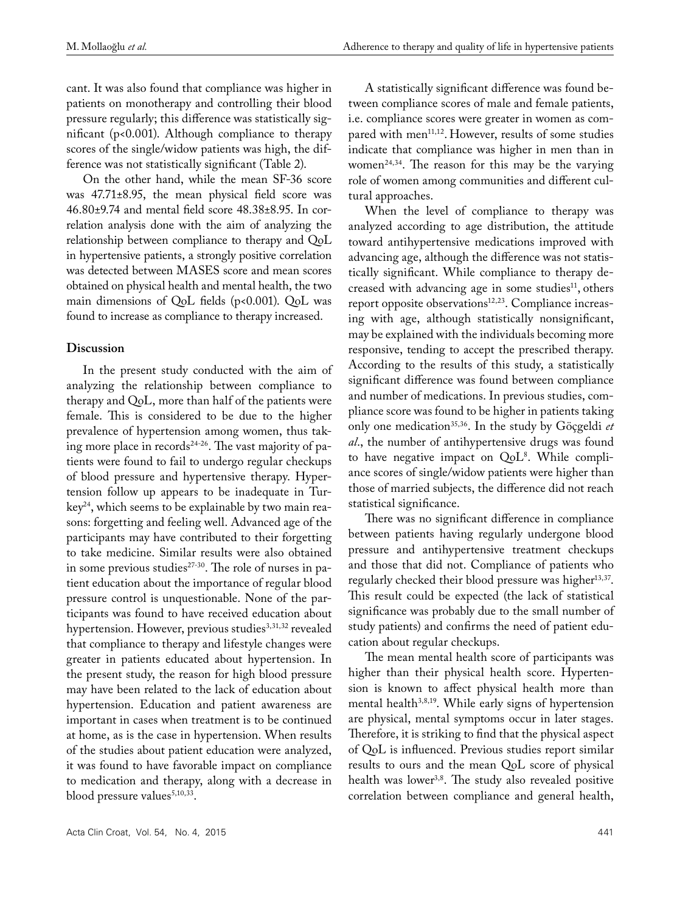cant. It was also found that compliance was higher in patients on monotherapy and controlling their blood pressure regularly; this difference was statistically significant (p<0.001). Although compliance to therapy scores of the single/widow patients was high, the difference was not statistically significant (Table 2).

On the other hand, while the mean SF-36 score was 47.71±8.95, the mean physical field score was 46.80±9.74 and mental field score 48.38±8.95. In correlation analysis done with the aim of analyzing the relationship between compliance to therapy and QoL in hypertensive patients, a strongly positive correlation was detected between MASES score and mean scores obtained on physical health and mental health, the two main dimensions of QoL fields (p<0.001). QoL was found to increase as compliance to therapy increased.

#### **Discussion**

In the present study conducted with the aim of analyzing the relationship between compliance to therapy and QoL, more than half of the patients were female. This is considered to be due to the higher prevalence of hypertension among women, thus taking more place in records<sup>24-26</sup>. The vast majority of patients were found to fail to undergo regular checkups of blood pressure and hypertensive therapy. Hypertension follow up appears to be inadequate in Tur $key<sup>24</sup>$ , which seems to be explainable by two main reasons: forgetting and feeling well. Advanced age of the participants may have contributed to their forgetting to take medicine. Similar results were also obtained in some previous studies<sup>27-30</sup>. The role of nurses in patient education about the importance of regular blood pressure control is unquestionable. None of the participants was found to have received education about hypertension. However, previous studies<sup>3,31,32</sup> revealed that compliance to therapy and lifestyle changes were greater in patients educated about hypertension. In the present study, the reason for high blood pressure may have been related to the lack of education about hypertension. Education and patient awareness are important in cases when treatment is to be continued at home, as is the case in hypertension. When results of the studies about patient education were analyzed, it was found to have favorable impact on compliance to medication and therapy, along with a decrease in blood pressure values<sup>5,10,33</sup>.

A statistically significant difference was found between compliance scores of male and female patients, i.e. compliance scores were greater in women as compared with men<sup>11,12</sup>. However, results of some studies indicate that compliance was higher in men than in women<sup>24,34</sup>. The reason for this may be the varying role of women among communities and different cultural approaches.

When the level of compliance to therapy was analyzed according to age distribution, the attitude toward antihypertensive medications improved with advancing age, although the difference was not statistically significant. While compliance to therapy decreased with advancing age in some studies<sup>11</sup>, others report opposite observations<sup>12,23</sup>. Compliance increasing with age, although statistically nonsignificant, may be explained with the individuals becoming more responsive, tending to accept the prescribed therapy. According to the results of this study, a statistically significant difference was found between compliance and number of medications. In previous studies, compliance score was found to be higher in patients taking only one medication35,36. In the study by Göçgeldi *et al*., the number of antihypertensive drugs was found to have negative impact on QoL<sup>8</sup>. While compliance scores of single/widow patients were higher than those of married subjects, the difference did not reach statistical significance.

There was no significant difference in compliance between patients having regularly undergone blood pressure and antihypertensive treatment checkups and those that did not. Compliance of patients who regularly checked their blood pressure was higher<sup>13,37</sup>. This result could be expected (the lack of statistical significance was probably due to the small number of study patients) and confirms the need of patient education about regular checkups.

The mean mental health score of participants was higher than their physical health score. Hypertension is known to affect physical health more than mental health<sup>3,8,19</sup>. While early signs of hypertension are physical, mental symptoms occur in later stages. Therefore, it is striking to find that the physical aspect of QoL is influenced. Previous studies report similar results to ours and the mean QoL score of physical health was lower<sup>3,8</sup>. The study also revealed positive correlation between compliance and general health,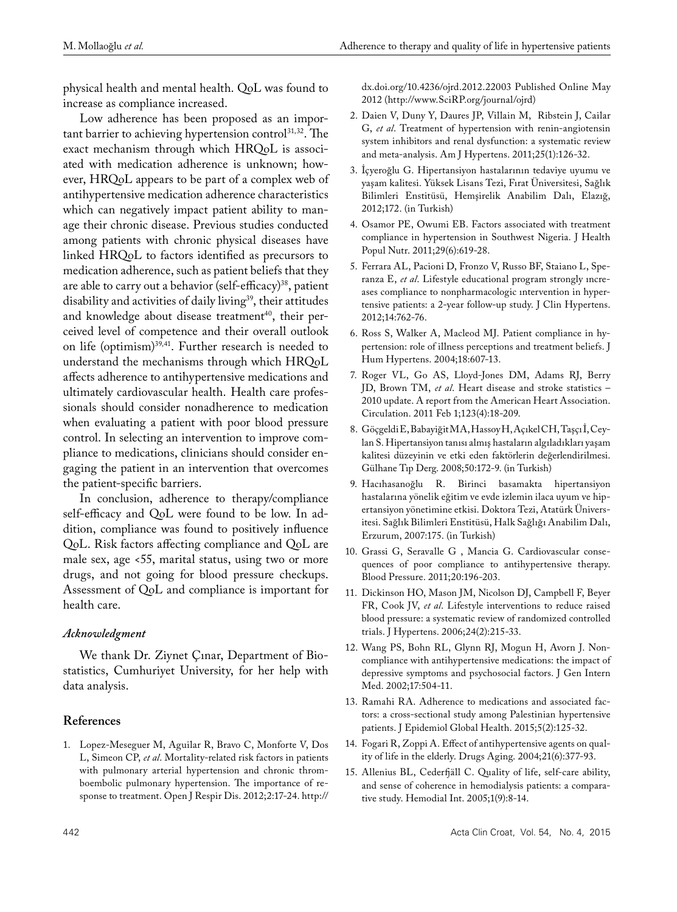physical health and mental health. QoL was found to increase as compliance increased.

Low adherence has been proposed as an important barrier to achieving hypertension control $^{31,32}$ . The exact mechanism through which HRQoL is associated with medication adherence is unknown; however, HRQoL appears to be part of a complex web of antihypertensive medication adherence characteristics which can negatively impact patient ability to manage their chronic disease. Previous studies conducted among patients with chronic physical diseases have linked HRQoL to factors identified as precursors to medication adherence, such as patient beliefs that they are able to carry out a behavior (self-efficacy)<sup>38</sup>, patient disability and activities of daily living<sup>39</sup>, their attitudes and knowledge about disease treatment<sup>40</sup>, their perceived level of competence and their overall outlook on life (optimism)39,41. Further research is needed to understand the mechanisms through which HRQoL affects adherence to antihypertensive medications and ultimately cardiovascular health. Health care professionals should consider nonadherence to medication when evaluating a patient with poor blood pressure control. In selecting an intervention to improve compliance to medications, clinicians should consider engaging the patient in an intervention that overcomes the patient-specific barriers.

In conclusion, adherence to therapy/compliance self-efficacy and QoL were found to be low. In addition, compliance was found to positively influence QoL. Risk factors affecting compliance and QoL are male sex, age <55, marital status, using two or more drugs, and not going for blood pressure checkups. Assessment of QoL and compliance is important for health care.

#### *Acknowledgment*

We thank Dr. Ziynet Çınar, Department of Biostatistics, Cumhuriyet University, for her help with data analysis.

#### **References**

1. Lopez-Meseguer M, Aguilar R, Bravo C, Monforte V, Dos L, Simeon CP, *et al*. Mortality-related risk factors in patients with pulmonary arterial hypertension and chronic thromboembolic pulmonary hypertension. The importance of response to treatment. Open J Respir Dis. 2012;2:17-24. http:// dx.doi.org/10.4236/ojrd.2012.22003 Published Online May 2012 (http://www.SciRP.org/journal/ojrd)

- 2. Daien V, Duny Y, Daures JP, Villain M, Ribstein J, Cailar G, *et al*. Treatment of hypertension with renin-angiotensin system inhibitors and renal dysfunction: a systematic review and meta-analysis. Am J Hypertens. 2011;25(1):126-32.
- 3. İçyeroğlu G. Hipertansiyon hastalarının tedaviye uyumu ve yaşam kalitesi. Yüksek Lisans Tezi, Fırat Üniversitesi, Sağlık Bilimleri Enstitüsü, Hemşirelik Anabilim Dalı, Elazığ, 2012;172. (in Turkish)
- 4. Osamor PE, Owumi EB. Factors associated with treatment compliance in hypertension in Southwest Nigeria. J Health Popul Nutr. 2011;29(6):619-28.
- 5. Ferrara AL, Pacioni D, Fronzo V, Russo BF, Staiano L, Speranza E, *et al*. Lifestyle educational program strongly ıncreases compliance to nonpharmacologic ıntervention in hypertensive patients: a 2-year follow-up study. J Clin Hypertens. 2012;14:762-76.
- 6. Ross S, Walker A, Macleod MJ. Patient compliance in hypertension: role of illness perceptions and treatment beliefs. J Hum Hypertens. 2004;18:607-13.
- 7. Roger VL, Go AS, Lloyd-Jones DM, Adams RJ, Berry JD, Brown TM, *et al*. Heart disease and stroke statistics – 2010 update. A report from the American Heart Association. Circulation. 2011 Feb 1;123(4):18-209.
- 8. Göçgeldi E, Babayiğit MA, Hassoy H, Açıkel CH, Taşçı İ, Ceylan S. Hipertansiyon tanısı almış hastaların algıladıkları yaşam kalitesi düzeyinin ve etki eden faktörlerin değerlendirilmesi. Gülhane Tıp Derg. 2008;50:172-9. (in Turkish)
- 9. Hacıhasanoğlu R. Birinci basamakta hipertansiyon hastalarına yönelik eğitim ve evde izlemin ilaca uyum ve hipertansiyon yönetimine etkisi. Doktora Tezi, Atatürk Üniversitesi. Sağlık Bilimleri Enstitüsü, Halk Sağlığı Anabilim Dalı, Erzurum, 2007:175. (in Turkish)
- 10. Grassi G, Seravalle G , Mancia G. Cardiovascular consequences of poor compliance to antihypertensive therapy. Blood Pressure. 2011;20:196-203.
- 11. Dickinson HO, Mason JM, Nicolson DJ, Campbell F, Beyer FR, Cook JV, *et al*. Lifestyle interventions to reduce raised blood pressure: a systematic review of randomized controlled trials. J Hypertens. 2006;24(2):215-33.
- 12. Wang PS, Bohn RL, Glynn RJ, Mogun H, Avorn J. Noncompliance with antihypertensive medications: the impact of depressive symptoms and psychosocial factors. J Gen Intern Med. 2002;17:504-11.
- 13. Ramahi RA. Adherence to medications and associated factors: a cross-sectional study among Palestinian hypertensive patients. J Epidemiol Global Health. 2015;5(2):125-32.
- 14. Fogari R, Zoppi A. Effect of antihypertensive agents on quality of life in the elderly. Drugs Aging. 2004;21(6):377-93.
- 15. Allenius BL, Cederfjäll C. Quality of life, self-care ability, and sense of coherence in hemodialysis patients: a comparative study. Hemodial Int. 2005;1(9):8-14.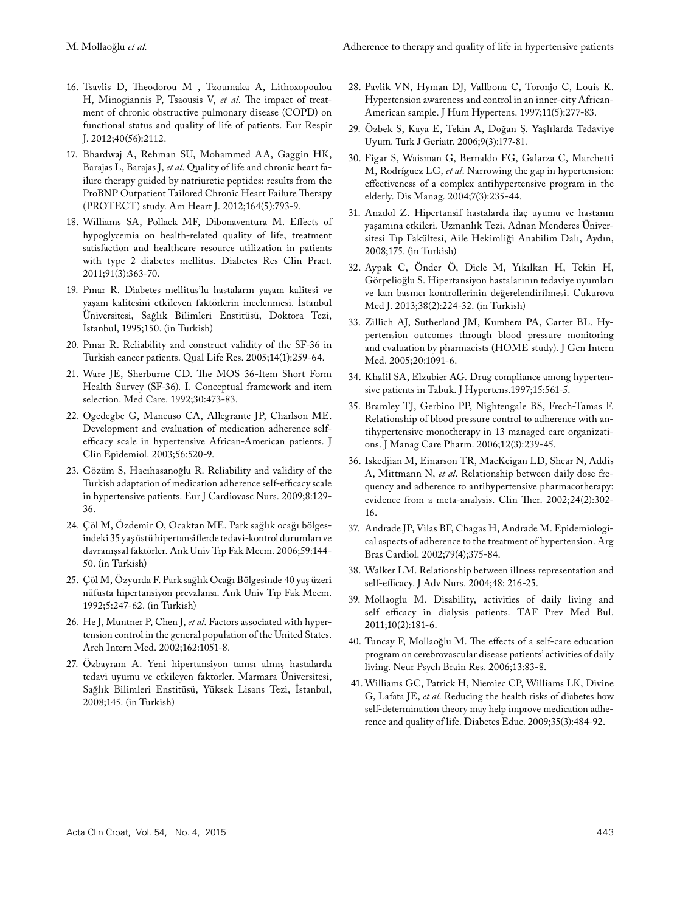- 16. Tsavlis D, Theodorou M , Tzoumaka A, Lithoxopoulou H, Minogiannis P, Tsaousis V, *et al*. The impact of treatment of chronic obstructive pulmonary disease (COPD) on functional status and quality of life of patients. Eur Respir J. 2012;40(56):2112.
- 17. Bhardwaj A, Rehman SU, Mohammed AA, Gaggin HK, Barajas L, Barajas J, *et al*. Quality of life and chronic heart failure therapy guided by natriuretic peptides: results from the ProBNP Outpatient Tailored Chronic Heart Failure Therapy (PROTECT) study. Am Heart J. 2012;164(5):793-9.
- 18. Williams SA, Pollack MF, Dibonaventura M. Effects of hypoglycemia on health-related quality of life, treatment satisfaction and healthcare resource utilization in patients with type 2 diabetes mellitus. Diabetes Res Clin Pract. 2011;91(3):363-70.
- 19. Pınar R. Diabetes mellitus'lu hastaların yaşam kalitesi ve yaşam kalitesini etkileyen faktörlerin incelenmesi. İstanbul Üniversitesi, Sağlık Bilimleri Enstitüsü, Doktora Tezi, İstanbul, 1995;150. (in Turkish)
- 20. Pınar R. Reliability and construct validity of the SF-36 in Turkish cancer patients. Qual Life Res. 2005;14(1):259-64.
- 21. Ware JE, Sherburne CD. The MOS 36-Item Short Form Health Survey (SF-36). I. Conceptual framework and item selection. Med Care. 1992;30:473-83.
- 22. Ogedegbe G, Mancuso CA, Allegrante JP, Charlson ME. Development and evaluation of medication adherence selfefficacy scale in hypertensive African-American patients. J Clin Epidemiol. 2003;56:520-9.
- 23. Gözüm S, Hacıhasanoğlu R. Reliability and validity of the Turkish adaptation of medication adherence self-efficacy scale in hypertensive patients. Eur J Cardiovasc Nurs. 2009;8:129- 36.
- 24. Çöl M, Özdemir O, Ocaktan ME. Park sağlık ocağı bölgesindeki 35 yaş üstü hipertansiflerde tedavi-kontrol durumları ve davranışsal faktörler. Ank Univ Tıp Fak Mecm. 2006;59:144- 50. (in Turkish)
- 25. Çöl M, Özyurda F. Park sağlık Ocağı Bölgesinde 40 yaş üzeri nüfusta hipertansiyon prevalansı. Ank Univ Tıp Fak Mecm. 1992;5:247-62. (in Turkish)
- 26. He J, Muntner P, Chen J, *et al*. Factors associated with hypertension control in the general population of the United States. Arch Intern Med. 2002;162:1051-8.
- 27. Özbayram A. Yeni hipertansiyon tanısı almış hastalarda tedavi uyumu ve etkileyen faktörler. Marmara Üniversitesi, Sağlık Bilimleri Enstitüsü, Yüksek Lisans Tezi, İstanbul, 2008;145. (in Turkish)
- 28. Pavlik VN, Hyman DJ, Vallbona C, Toronjo C, Louis K. Hypertension awareness and control in an inner-city African-American sample. J Hum Hypertens. 1997;11(5):277-83.
- 29. Özbek S, Kaya E, Tekin A, Doğan Ş. Yaşlılarda Tedaviye Uyum. Turk J Geriatr. 2006;9(3):177-81.
- 30. Figar S, Waisman G, Bernaldo FG, Galarza C, Marchetti M, Rodríguez LG, *et al*. Narrowing the gap in hypertension: effectiveness of a complex antihypertensive program in the elderly. Dis Manag. 2004;7(3):235-44.
- 31. Anadol Z. Hipertansif hastalarda ilaç uyumu ve hastanın yaşamına etkileri. Uzmanlık Tezi, Adnan Menderes Üniversitesi Tıp Fakültesi, Aile Hekimliği Anabilim Dalı, Aydın, 2008;175. (in Turkish)
- 32. Aypak C, Önder Ö, Dicle M, Yıkılkan H, Tekin H, Görpelioğlu S. Hipertansiyon hastalarının tedaviye uyumları ve kan basıncı kontrollerinin değerelendirilmesi. Cukurova Med J. 2013;38(2):224-32. (in Turkish)
- 33. Zillich AJ, Sutherland JM, Kumbera PA, Carter BL. Hypertension outcomes through blood pressure monitoring and evaluation by pharmacists (HOME study). J Gen Intern Med. 2005;20:1091-6.
- 34. Khalil SA, Elzubier AG. Drug compliance among hypertensive patients in Tabuk. J Hypertens.1997;15:561-5.
- 35. Bramley TJ, Gerbino PP, Nightengale BS, Frech-Tamas F. Relationship of blood pressure control to adherence with antihypertensive monotherapy in 13 managed care organizations. J Manag Care Pharm. 2006;12(3):239-45.
- 36. Iskedjian M, Einarson TR, MacKeigan LD, Shear N, Addis A, Mittmann N, *et al*. Relationship between daily dose frequency and adherence to antihypertensive pharmacotherapy: evidence from a meta-analysis. Clin Ther. 2002;24(2):302- 16.
- 37. Andrade JP, Vilas BF, Chagas H, Andrade M. Epidemiological aspects of adherence to the treatment of hypertension. Arg Bras Cardiol. 2002;79(4);375-84.
- 38. Walker LM. Relationship between illness representation and self-efficacy. J Adv Nurs. 2004;48: 216-25.
- 39. Mollaoglu M. Disability, activities of daily living and self efficacy in dialysis patients. TAF Prev Med Bul. 2011;10(2):181-6.
- 40. Tuncay F, Mollaoğlu M. The effects of a self-care education program on cerebrovascular disease patients' activities of daily living. Neur Psych Brain Res. 2006;13:83-8.
- 41. Williams GC, Patrick H, Niemiec CP, Williams LK, Divine G, Lafata JE, *et al*. Reducing the health risks of diabetes how self-determination theory may help improve medication adherence and quality of life. Diabetes Educ. 2009;35(3):484-92.